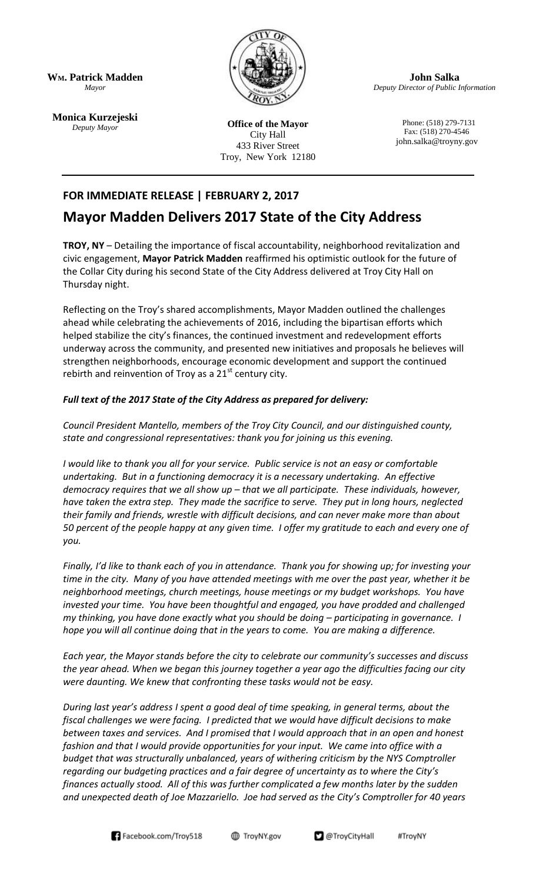**WM. Patrick Madden** *Mayor*

**Monica Kurzejeski** *Deputy Mayor*



**Office of the Mayor** City Hall 433 River Street Troy, New York 12180

**John Salka** *Deputy Director of Public Information*

> Phone: (518) 279-7131 Fax: (518) 270-4546 john.salka@troyny.gov

## **FOR IMMEDIATE RELEASE | FEBRUARY 2, 2017**

## **Mayor Madden Delivers 2017 State of the City Address**

**TROY, NY** – Detailing the importance of fiscal accountability, neighborhood revitalization and civic engagement, **Mayor Patrick Madden** reaffirmed his optimistic outlook for the future of the Collar City during his second State of the City Address delivered at Troy City Hall on Thursday night.

Reflecting on the Troy's shared accomplishments, Mayor Madden outlined the challenges ahead while celebrating the achievements of 2016, including the bipartisan efforts which helped stabilize the city's finances, the continued investment and redevelopment efforts underway across the community, and presented new initiatives and proposals he believes will strengthen neighborhoods, encourage economic development and support the continued rebirth and reinvention of Troy as a  $21<sup>st</sup>$  century city.

## *Full text of the 2017 State of the City Address as prepared for delivery:*

*Council President Mantello, members of the Troy City Council, and our distinguished county, state and congressional representatives: thank you for joining us this evening.*

*I would like to thank you all for your service. Public service is not an easy or comfortable undertaking. But in a functioning democracy it is a necessary undertaking. An effective democracy requires that we all show up – that we all participate. These individuals, however, have taken the extra step. They made the sacrifice to serve. They put in long hours, neglected their family and friends, wrestle with difficult decisions, and can never make more than about 50 percent of the people happy at any given time. I offer my gratitude to each and every one of you.* 

*Finally, I'd like to thank each of you in attendance. Thank you for showing up; for investing your time in the city. Many of you have attended meetings with me over the past year, whether it be neighborhood meetings, church meetings, house meetings or my budget workshops. You have invested your time. You have been thoughtful and engaged, you have prodded and challenged my thinking, you have done exactly what you should be doing – participating in governance. I hope you will all continue doing that in the years to come. You are making a difference.* 

*Each year, the Mayor stands before the city to celebrate our community's successes and discuss the year ahead. When we began this journey together a year ago the difficulties facing our city were daunting. We knew that confronting these tasks would not be easy.*

*During last year's address I spent a good deal of time speaking, in general terms, about the fiscal challenges we were facing. I predicted that we would have difficult decisions to make between taxes and services. And I promised that I would approach that in an open and honest*  fashion and that I would provide opportunities for your input. We came into office with a *budget that was structurally unbalanced, years of withering criticism by the NYS Comptroller regarding our budgeting practices and a fair degree of uncertainty as to where the City's finances actually stood. All of this was further complicated a few months later by the sudden and unexpected death of Joe Mazzariello. Joe had served as the City's Comptroller for 40 years* 

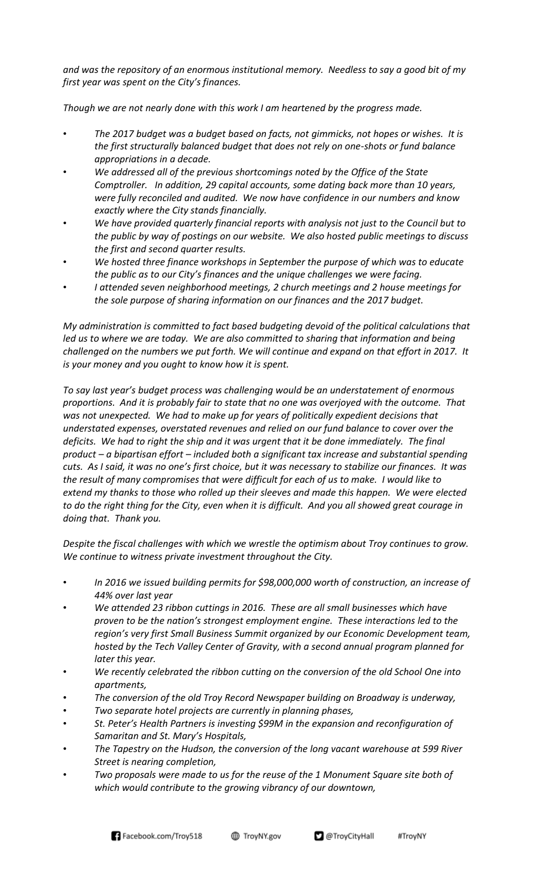*and was the repository of an enormous institutional memory. Needless to say a good bit of my first year was spent on the City's finances.* 

*Though we are not nearly done with this work I am heartened by the progress made.* 

- *The 2017 budget was a budget based on facts, not gimmicks, not hopes or wishes. It is the first structurally balanced budget that does not rely on one-shots or fund balance appropriations in a decade.*
- *We addressed all of the previous shortcomings noted by the Office of the State Comptroller. In addition, 29 capital accounts, some dating back more than 10 years, were fully reconciled and audited. We now have confidence in our numbers and know exactly where the City stands financially.*
- *We have provided quarterly financial reports with analysis not just to the Council but to the public by way of postings on our website. We also hosted public meetings to discuss the first and second quarter results.*
- *We hosted three finance workshops in September the purpose of which was to educate the public as to our City's finances and the unique challenges we were facing.*
- *I attended seven neighborhood meetings, 2 church meetings and 2 house meetings for the sole purpose of sharing information on our finances and the 2017 budget.*

*My administration is committed to fact based budgeting devoid of the political calculations that*  led us to where we are today. We are also committed to sharing that information and being *challenged on the numbers we put forth. We will continue and expand on that effort in 2017. It is your money and you ought to know how it is spent.*

*To say last year's budget process was challenging would be an understatement of enormous proportions. And it is probably fair to state that no one was overjoyed with the outcome. That was not unexpected. We had to make up for years of politically expedient decisions that understated expenses, overstated revenues and relied on our fund balance to cover over the*  deficits. We had to right the ship and it was urgent that it be done immediately. The final *product – a bipartisan effort – included both a significant tax increase and substantial spending cuts. As I said, it was no one's first choice, but it was necessary to stabilize our finances. It was the result of many compromises that were difficult for each of us to make. I would like to extend my thanks to those who rolled up their sleeves and made this happen. We were elected to do the right thing for the City, even when it is difficult. And you all showed great courage in doing that. Thank you.*

*Despite the fiscal challenges with which we wrestle the optimism about Troy continues to grow. We continue to witness private investment throughout the City.*

- *In 2016 we issued building permits for \$98,000,000 worth of construction, an increase of 44% over last year*
- *We attended 23 ribbon cuttings in 2016. These are all small businesses which have proven to be the nation's strongest employment engine. These interactions led to the region's very first Small Business Summit organized by our Economic Development team, hosted by the Tech Valley Center of Gravity, with a second annual program planned for later this year.*
- *We recently celebrated the ribbon cutting on the conversion of the old School One into apartments,*
- *The conversion of the old Troy Record Newspaper building on Broadway is underway,*
- *Two separate hotel projects are currently in planning phases,*
- *St. Peter's Health Partners is investing \$99M in the expansion and reconfiguration of Samaritan and St. Mary's Hospitals,*
- *The Tapestry on the Hudson, the conversion of the long vacant warehouse at 599 River Street is nearing completion,*
- *Two proposals were made to us for the reuse of the 1 Monument Square site both of which would contribute to the growing vibrancy of our downtown,*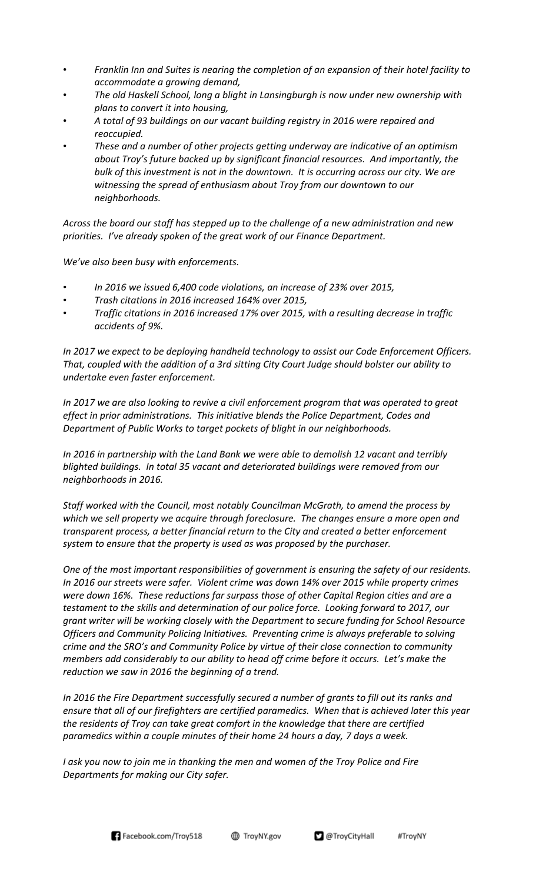- *Franklin Inn and Suites is nearing the completion of an expansion of their hotel facility to accommodate a growing demand,*
- *The old Haskell School, long a blight in Lansingburgh is now under new ownership with plans to convert it into housing,*
- *A total of 93 buildings on our vacant building registry in 2016 were repaired and reoccupied.*
- *These and a number of other projects getting underway are indicative of an optimism about Troy's future backed up by significant financial resources. And importantly, the bulk of this investment is not in the downtown. It is occurring across our city. We are witnessing the spread of enthusiasm about Troy from our downtown to our neighborhoods.*

*Across the board our staff has stepped up to the challenge of a new administration and new priorities. I've already spoken of the great work of our Finance Department.*

*We've also been busy with enforcements.*

- *In 2016 we issued 6,400 code violations, an increase of 23% over 2015,*
- *Trash citations in 2016 increased 164% over 2015,*
- *Traffic citations in 2016 increased 17% over 2015, with a resulting decrease in traffic accidents of 9%.*

*In 2017 we expect to be deploying handheld technology to assist our Code Enforcement Officers. That, coupled with the addition of a 3rd sitting City Court Judge should bolster our ability to undertake even faster enforcement.*

*In 2017 we are also looking to revive a civil enforcement program that was operated to great effect in prior administrations. This initiative blends the Police Department, Codes and Department of Public Works to target pockets of blight in our neighborhoods.*

*In 2016 in partnership with the Land Bank we were able to demolish 12 vacant and terribly blighted buildings. In total 35 vacant and deteriorated buildings were removed from our neighborhoods in 2016.* 

*Staff worked with the Council, most notably Councilman McGrath, to amend the process by which we sell property we acquire through foreclosure. The changes ensure a more open and transparent process, a better financial return to the City and created a better enforcement system to ensure that the property is used as was proposed by the purchaser.*

*One of the most important responsibilities of government is ensuring the safety of our residents. In 2016 our streets were safer. Violent crime was down 14% over 2015 while property crimes were down 16%. These reductions far surpass those of other Capital Region cities and are a testament to the skills and determination of our police force. Looking forward to 2017, our grant writer will be working closely with the Department to secure funding for School Resource Officers and Community Policing Initiatives. Preventing crime is always preferable to solving crime and the SRO's and Community Police by virtue of their close connection to community members add considerably to our ability to head off crime before it occurs. Let's make the reduction we saw in 2016 the beginning of a trend.* 

*In 2016 the Fire Department successfully secured a number of grants to fill out its ranks and ensure that all of our firefighters are certified paramedics. When that is achieved later this year the residents of Troy can take great comfort in the knowledge that there are certified paramedics within a couple minutes of their home 24 hours a day, 7 days a week.*

*I ask you now to join me in thanking the men and women of the Troy Police and Fire Departments for making our City safer.*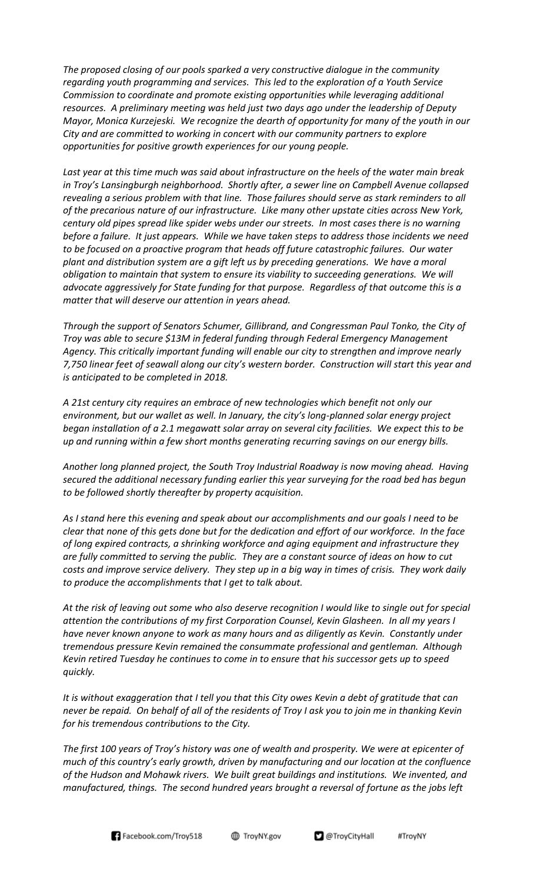*The proposed closing of our pools sparked a very constructive dialogue in the community regarding youth programming and services. This led to the exploration of a Youth Service Commission to coordinate and promote existing opportunities while leveraging additional resources. A preliminary meeting was held just two days ago under the leadership of Deputy Mayor, Monica Kurzejeski. We recognize the dearth of opportunity for many of the youth in our City and are committed to working in concert with our community partners to explore opportunities for positive growth experiences for our young people.* 

*Last year at this time much was said about infrastructure on the heels of the water main break in Troy's Lansingburgh neighborhood. Shortly after, a sewer line on Campbell Avenue collapsed revealing a serious problem with that line. Those failures should serve as stark reminders to all of the precarious nature of our infrastructure. Like many other upstate cities across New York, century old pipes spread like spider webs under our streets. In most cases there is no warning before a failure. It just appears. While we have taken steps to address those incidents we need to be focused on a proactive program that heads off future catastrophic failures. Our water plant and distribution system are a gift left us by preceding generations. We have a moral obligation to maintain that system to ensure its viability to succeeding generations. We will advocate aggressively for State funding for that purpose. Regardless of that outcome this is a matter that will deserve our attention in years ahead.*

*Through the support of Senators Schumer, Gillibrand, and Congressman Paul Tonko, the City of Troy was able to secure \$13M in federal funding through Federal Emergency Management Agency. This critically important funding will enable our city to strengthen and improve nearly 7,750 linear feet of seawall along our city's western border. Construction will start this year and is anticipated to be completed in 2018.*

*A 21st century city requires an embrace of new technologies which benefit not only our environment, but our wallet as well. In January, the city's long-planned solar energy project began installation of a 2.1 megawatt solar array on several city facilities. We expect this to be up and running within a few short months generating recurring savings on our energy bills.*

*Another long planned project, the South Troy Industrial Roadway is now moving ahead. Having secured the additional necessary funding earlier this year surveying for the road bed has begun to be followed shortly thereafter by property acquisition.*

*As I stand here this evening and speak about our accomplishments and our goals I need to be clear that none of this gets done but for the dedication and effort of our workforce. In the face of long expired contracts, a shrinking workforce and aging equipment and infrastructure they are fully committed to serving the public. They are a constant source of ideas on how to cut costs and improve service delivery. They step up in a big way in times of crisis. They work daily to produce the accomplishments that I get to talk about.* 

*At the risk of leaving out some who also deserve recognition I would like to single out for special attention the contributions of my first Corporation Counsel, Kevin Glasheen. In all my years I have never known anyone to work as many hours and as diligently as Kevin. Constantly under tremendous pressure Kevin remained the consummate professional and gentleman. Although Kevin retired Tuesday he continues to come in to ensure that his successor gets up to speed quickly.*

*It is without exaggeration that I tell you that this City owes Kevin a debt of gratitude that can never be repaid. On behalf of all of the residents of Troy I ask you to join me in thanking Kevin for his tremendous contributions to the City.* 

*The first 100 years of Troy's history was one of wealth and prosperity. We were at epicenter of much of this country's early growth, driven by manufacturing and our location at the confluence of the Hudson and Mohawk rivers. We built great buildings and institutions. We invented, and manufactured, things. The second hundred years brought a reversal of fortune as the jobs left* 



TroyNY.gov